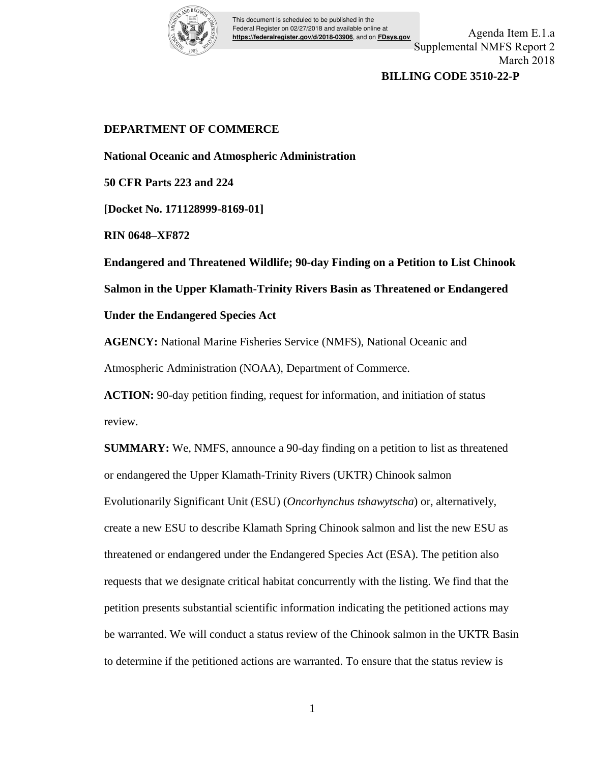

This document is scheduled to be published in the Federal Register on 02/27/2018 and available online at **https://federalregister.gov/d/2018-03906**, and on **FDsys.gov**

Agenda Item E.1.a Supplemental NMFS Report 2 March 2018

## **BILLING CODE 3510-22-P**

# **DEPARTMENT OF COMMERCE**

**National Oceanic and Atmospheric Administration** 

**50 CFR Parts 223 and 224** 

**[Docket No. 171128999-8169-01]** 

**RIN 0648–XF872** 

**Endangered and Threatened Wildlife; 90-day Finding on a Petition to List Chinook** 

**Salmon in the Upper Klamath-Trinity Rivers Basin as Threatened or Endangered** 

## **Under the Endangered Species Act**

**AGENCY:** National Marine Fisheries Service (NMFS), National Oceanic and Atmospheric Administration (NOAA), Department of Commerce.

**ACTION:** 90-day petition finding, request for information, and initiation of status review.

**SUMMARY:** We, NMFS, announce a 90-day finding on a petition to list as threatened or endangered the Upper Klamath-Trinity Rivers (UKTR) Chinook salmon Evolutionarily Significant Unit (ESU) (*Oncorhynchus tshawytscha*) or, alternatively, create a new ESU to describe Klamath Spring Chinook salmon and list the new ESU as threatened or endangered under the Endangered Species Act (ESA). The petition also requests that we designate critical habitat concurrently with the listing. We find that the petition presents substantial scientific information indicating the petitioned actions may be warranted. We will conduct a status review of the Chinook salmon in the UKTR Basin to determine if the petitioned actions are warranted. To ensure that the status review is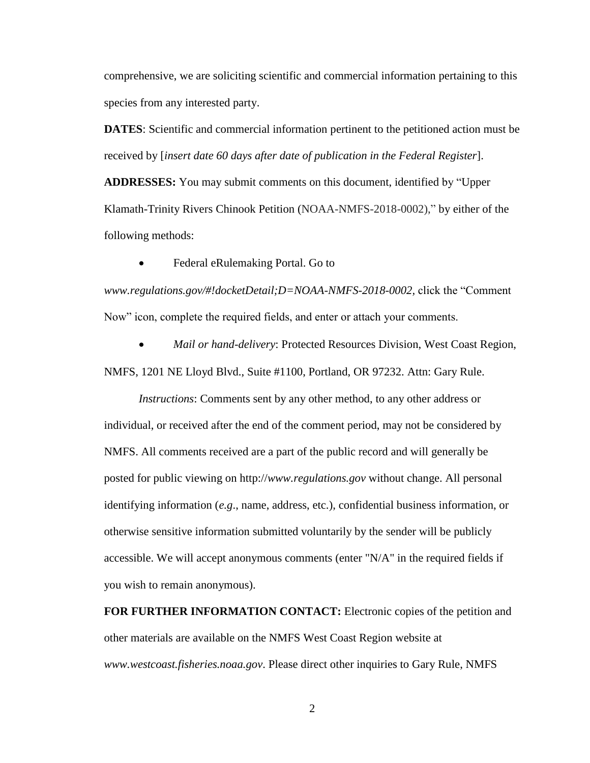comprehensive, we are soliciting scientific and commercial information pertaining to this species from any interested party.

**DATES**: Scientific and commercial information pertinent to the petitioned action must be received by [*insert date 60 days after date of publication in the Federal Register*].

**ADDRESSES:** You may submit comments on this document, identified by "Upper Klamath-Trinity Rivers Chinook Petition (NOAA-NMFS-2018-0002)," by either of the following methods:

Federal eRulemaking Portal. Go to

*www.regulations.gov/#!docketDetail;D=NOAA-NMFS-2018-0002,* click the "Comment Now" icon, complete the required fields, and enter or attach your comments.

 *Mail or hand-delivery*: Protected Resources Division, West Coast Region, NMFS, 1201 NE Lloyd Blvd., Suite #1100, Portland, OR 97232. Attn: Gary Rule.

*Instructions*: Comments sent by any other method, to any other address or individual, or received after the end of the comment period, may not be considered by NMFS. All comments received are a part of the public record and will generally be posted for public viewing on http://*www.regulations.gov* without change. All personal identifying information (*e.g*., name, address, etc.), confidential business information, or otherwise sensitive information submitted voluntarily by the sender will be publicly accessible. We will accept anonymous comments (enter "N/A" in the required fields if you wish to remain anonymous).

**FOR FURTHER INFORMATION CONTACT:** Electronic copies of the petition and other materials are available on the NMFS West Coast Region website at *www.westcoast.fisheries.noaa.gov*. Please direct other inquiries to Gary Rule, NMFS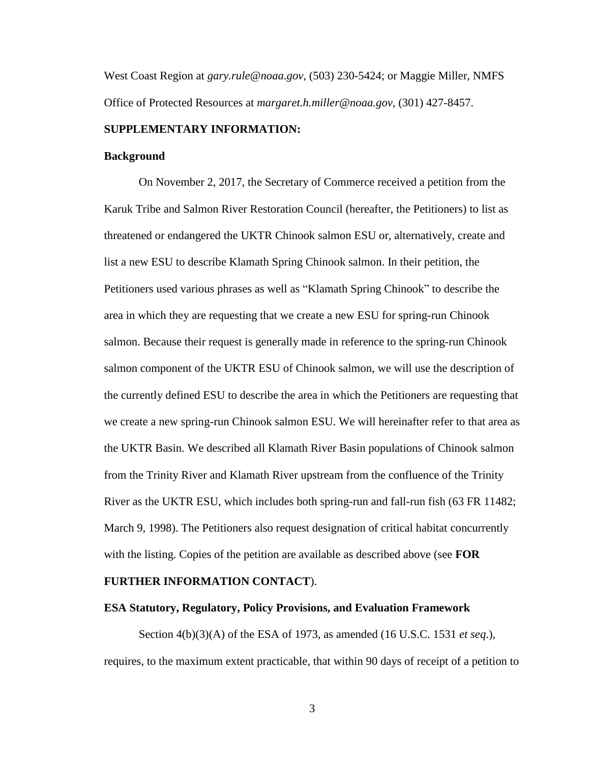West Coast Region at *gary.rule@noaa.gov*, (503) 230-5424; or Maggie Miller, NMFS Office of Protected Resources at *margaret.h.miller@noaa.gov*, (301) 427-8457.

#### **SUPPLEMENTARY INFORMATION:**

#### **Background**

On November 2, 2017, the Secretary of Commerce received a petition from the Karuk Tribe and Salmon River Restoration Council (hereafter, the Petitioners) to list as threatened or endangered the UKTR Chinook salmon ESU or, alternatively, create and list a new ESU to describe Klamath Spring Chinook salmon. In their petition, the Petitioners used various phrases as well as "Klamath Spring Chinook" to describe the area in which they are requesting that we create a new ESU for spring-run Chinook salmon. Because their request is generally made in reference to the spring-run Chinook salmon component of the UKTR ESU of Chinook salmon, we will use the description of the currently defined ESU to describe the area in which the Petitioners are requesting that we create a new spring-run Chinook salmon ESU. We will hereinafter refer to that area as the UKTR Basin. We described all Klamath River Basin populations of Chinook salmon from the Trinity River and Klamath River upstream from the confluence of the Trinity River as the UKTR ESU, which includes both spring-run and fall-run fish (63 FR 11482; March 9, 1998). The Petitioners also request designation of critical habitat concurrently with the listing. Copies of the petition are available as described above (see **FOR** 

#### **FURTHER INFORMATION CONTACT**).

#### **ESA Statutory, Regulatory, Policy Provisions, and Evaluation Framework**

Section 4(b)(3)(A) of the ESA of 1973, as amended (16 U.S.C. 1531 *et seq*.), requires, to the maximum extent practicable, that within 90 days of receipt of a petition to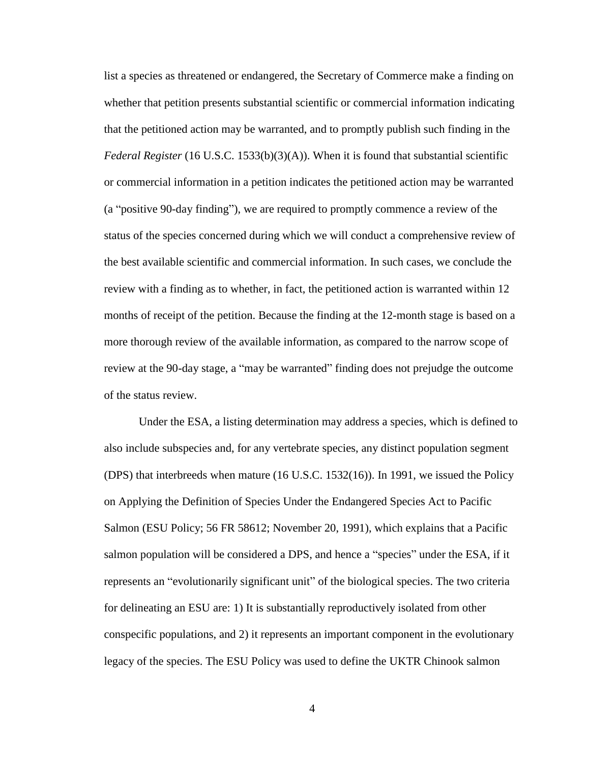list a species as threatened or endangered, the Secretary of Commerce make a finding on whether that petition presents substantial scientific or commercial information indicating that the petitioned action may be warranted, and to promptly publish such finding in the *Federal Register* (16 U.S.C. 1533(b)(3)(A)). When it is found that substantial scientific or commercial information in a petition indicates the petitioned action may be warranted (a "positive 90-day finding"), we are required to promptly commence a review of the status of the species concerned during which we will conduct a comprehensive review of the best available scientific and commercial information. In such cases, we conclude the review with a finding as to whether, in fact, the petitioned action is warranted within 12 months of receipt of the petition. Because the finding at the 12-month stage is based on a more thorough review of the available information, as compared to the narrow scope of review at the 90-day stage, a "may be warranted" finding does not prejudge the outcome of the status review.

Under the ESA, a listing determination may address a species, which is defined to also include subspecies and, for any vertebrate species, any distinct population segment (DPS) that interbreeds when mature (16 U.S.C. 1532(16)). In 1991, we issued the Policy on Applying the Definition of Species Under the Endangered Species Act to Pacific Salmon (ESU Policy; 56 FR 58612; November 20, 1991), which explains that a Pacific salmon population will be considered a DPS, and hence a "species" under the ESA, if it represents an "evolutionarily significant unit" of the biological species. The two criteria for delineating an ESU are: 1) It is substantially reproductively isolated from other conspecific populations, and 2) it represents an important component in the evolutionary legacy of the species. The ESU Policy was used to define the UKTR Chinook salmon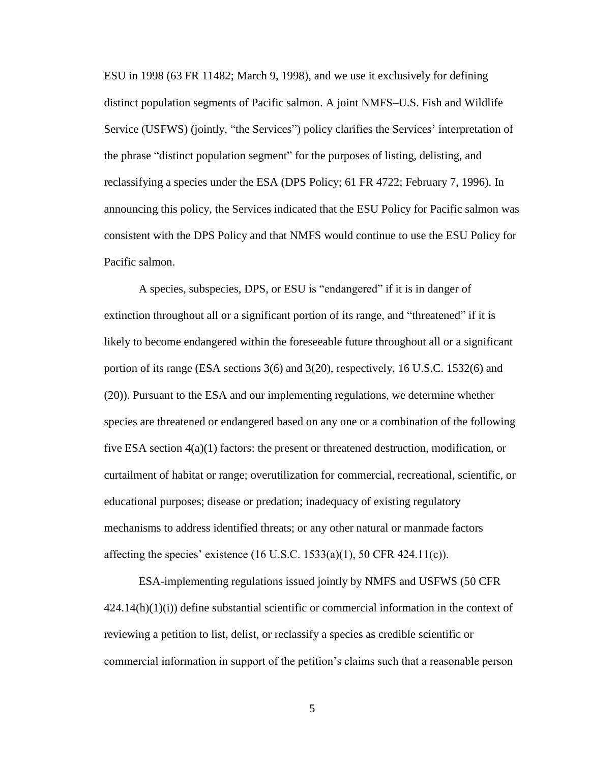ESU in 1998 (63 FR 11482; March 9, 1998), and we use it exclusively for defining distinct population segments of Pacific salmon. A joint NMFS–U.S. Fish and Wildlife Service (USFWS) (jointly, "the Services") policy clarifies the Services' interpretation of the phrase "distinct population segment" for the purposes of listing, delisting, and reclassifying a species under the ESA (DPS Policy; 61 FR 4722; February 7, 1996). In announcing this policy, the Services indicated that the ESU Policy for Pacific salmon was consistent with the DPS Policy and that NMFS would continue to use the ESU Policy for Pacific salmon.

A species, subspecies, DPS, or ESU is "endangered" if it is in danger of extinction throughout all or a significant portion of its range, and "threatened" if it is likely to become endangered within the foreseeable future throughout all or a significant portion of its range (ESA sections 3(6) and 3(20), respectively, 16 U.S.C. 1532(6) and (20)). Pursuant to the ESA and our implementing regulations, we determine whether species are threatened or endangered based on any one or a combination of the following five ESA section 4(a)(1) factors: the present or threatened destruction, modification, or curtailment of habitat or range; overutilization for commercial, recreational, scientific, or educational purposes; disease or predation; inadequacy of existing regulatory mechanisms to address identified threats; or any other natural or manmade factors affecting the species' existence  $(16$  U.S.C.  $1533(a)(1)$ , 50 CFR 424.11(c)).

ESA-implementing regulations issued jointly by NMFS and USFWS (50 CFR  $424.14(h)(1)(i)$  define substantial scientific or commercial information in the context of reviewing a petition to list, delist, or reclassify a species as credible scientific or commercial information in support of the petition's claims such that a reasonable person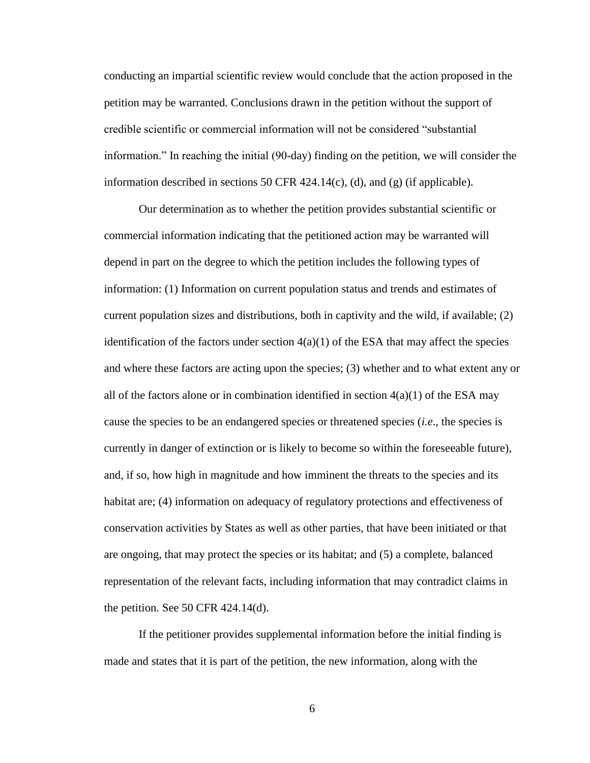conducting an impartial scientific review would conclude that the action proposed in the petition may be warranted. Conclusions drawn in the petition without the support of credible scientific or commercial information will not be considered "substantial information." In reaching the initial (90-day) finding on the petition, we will consider the information described in sections 50 CFR  $424.14(c)$ , (d), and (g) (if applicable).

Our determination as to whether the petition provides substantial scientific or commercial information indicating that the petitioned action may be warranted will depend in part on the degree to which the petition includes the following types of information: (1) Information on current population status and trends and estimates of current population sizes and distributions, both in captivity and the wild, if available; (2) identification of the factors under section  $4(a)(1)$  of the ESA that may affect the species and where these factors are acting upon the species; (3) whether and to what extent any or all of the factors alone or in combination identified in section  $4(a)(1)$  of the ESA may cause the species to be an endangered species or threatened species (*i.e*., the species is currently in danger of extinction or is likely to become so within the foreseeable future), and, if so, how high in magnitude and how imminent the threats to the species and its habitat are; (4) information on adequacy of regulatory protections and effectiveness of conservation activities by States as well as other parties, that have been initiated or that are ongoing, that may protect the species or its habitat; and (5) a complete, balanced representation of the relevant facts, including information that may contradict claims in the petition. See 50 CFR  $424.14(d)$ .

If the petitioner provides supplemental information before the initial finding is made and states that it is part of the petition, the new information, along with the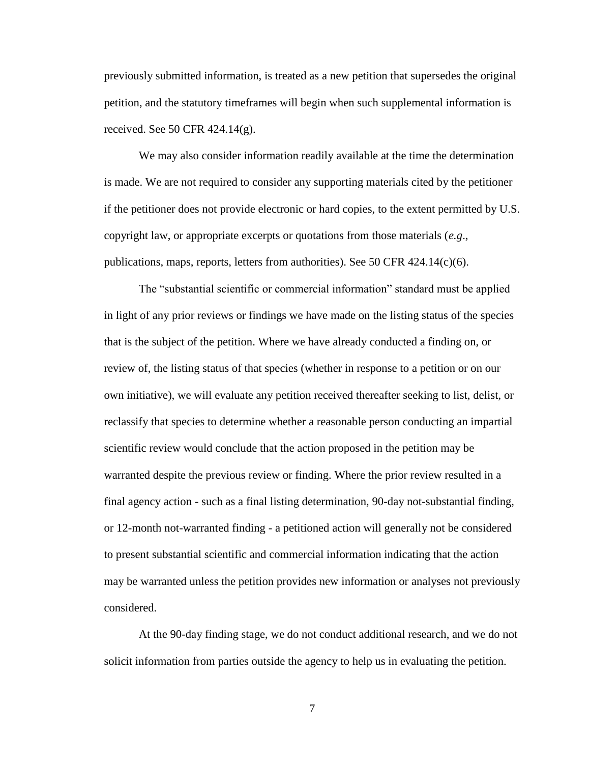previously submitted information, is treated as a new petition that supersedes the original petition, and the statutory timeframes will begin when such supplemental information is received. See 50 CFR 424.14(g).

We may also consider information readily available at the time the determination is made. We are not required to consider any supporting materials cited by the petitioner if the petitioner does not provide electronic or hard copies, to the extent permitted by U.S. copyright law, or appropriate excerpts or quotations from those materials (*e.g*., publications, maps, reports, letters from authorities). See 50 CFR  $424.14(c)(6)$ .

The "substantial scientific or commercial information" standard must be applied in light of any prior reviews or findings we have made on the listing status of the species that is the subject of the petition. Where we have already conducted a finding on, or review of, the listing status of that species (whether in response to a petition or on our own initiative), we will evaluate any petition received thereafter seeking to list, delist, or reclassify that species to determine whether a reasonable person conducting an impartial scientific review would conclude that the action proposed in the petition may be warranted despite the previous review or finding. Where the prior review resulted in a final agency action - such as a final listing determination, 90-day not-substantial finding, or 12-month not-warranted finding - a petitioned action will generally not be considered to present substantial scientific and commercial information indicating that the action may be warranted unless the petition provides new information or analyses not previously considered.

At the 90-day finding stage, we do not conduct additional research, and we do not solicit information from parties outside the agency to help us in evaluating the petition.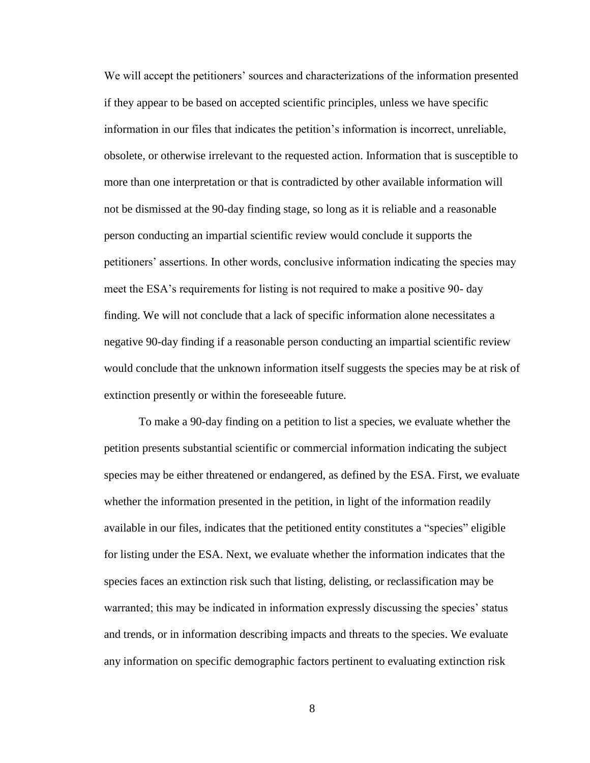We will accept the petitioners' sources and characterizations of the information presented if they appear to be based on accepted scientific principles, unless we have specific information in our files that indicates the petition's information is incorrect, unreliable, obsolete, or otherwise irrelevant to the requested action. Information that is susceptible to more than one interpretation or that is contradicted by other available information will not be dismissed at the 90-day finding stage, so long as it is reliable and a reasonable person conducting an impartial scientific review would conclude it supports the petitioners' assertions. In other words, conclusive information indicating the species may meet the ESA's requirements for listing is not required to make a positive 90- day finding. We will not conclude that a lack of specific information alone necessitates a negative 90-day finding if a reasonable person conducting an impartial scientific review would conclude that the unknown information itself suggests the species may be at risk of extinction presently or within the foreseeable future.

To make a 90-day finding on a petition to list a species, we evaluate whether the petition presents substantial scientific or commercial information indicating the subject species may be either threatened or endangered, as defined by the ESA. First, we evaluate whether the information presented in the petition, in light of the information readily available in our files, indicates that the petitioned entity constitutes a "species" eligible for listing under the ESA. Next, we evaluate whether the information indicates that the species faces an extinction risk such that listing, delisting, or reclassification may be warranted; this may be indicated in information expressly discussing the species' status and trends, or in information describing impacts and threats to the species. We evaluate any information on specific demographic factors pertinent to evaluating extinction risk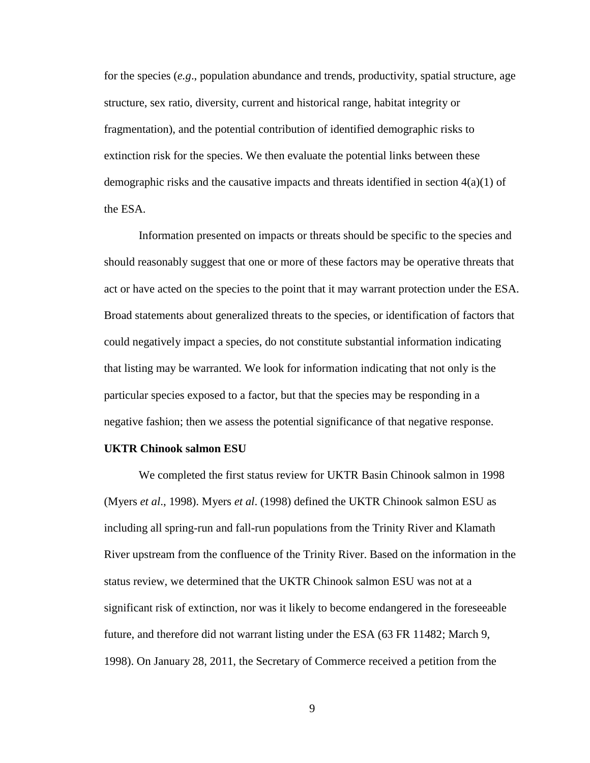for the species (*e.g*., population abundance and trends, productivity, spatial structure, age structure, sex ratio, diversity, current and historical range, habitat integrity or fragmentation), and the potential contribution of identified demographic risks to extinction risk for the species. We then evaluate the potential links between these demographic risks and the causative impacts and threats identified in section  $4(a)(1)$  of the ESA.

Information presented on impacts or threats should be specific to the species and should reasonably suggest that one or more of these factors may be operative threats that act or have acted on the species to the point that it may warrant protection under the ESA. Broad statements about generalized threats to the species, or identification of factors that could negatively impact a species, do not constitute substantial information indicating that listing may be warranted. We look for information indicating that not only is the particular species exposed to a factor, but that the species may be responding in a negative fashion; then we assess the potential significance of that negative response.

#### **UKTR Chinook salmon ESU**

We completed the first status review for UKTR Basin Chinook salmon in 1998 (Myers *et al*., 1998). Myers *et al*. (1998) defined the UKTR Chinook salmon ESU as including all spring-run and fall-run populations from the Trinity River and Klamath River upstream from the confluence of the Trinity River. Based on the information in the status review, we determined that the UKTR Chinook salmon ESU was not at a significant risk of extinction, nor was it likely to become endangered in the foreseeable future, and therefore did not warrant listing under the ESA (63 FR 11482; March 9, 1998). On January 28, 2011, the Secretary of Commerce received a petition from the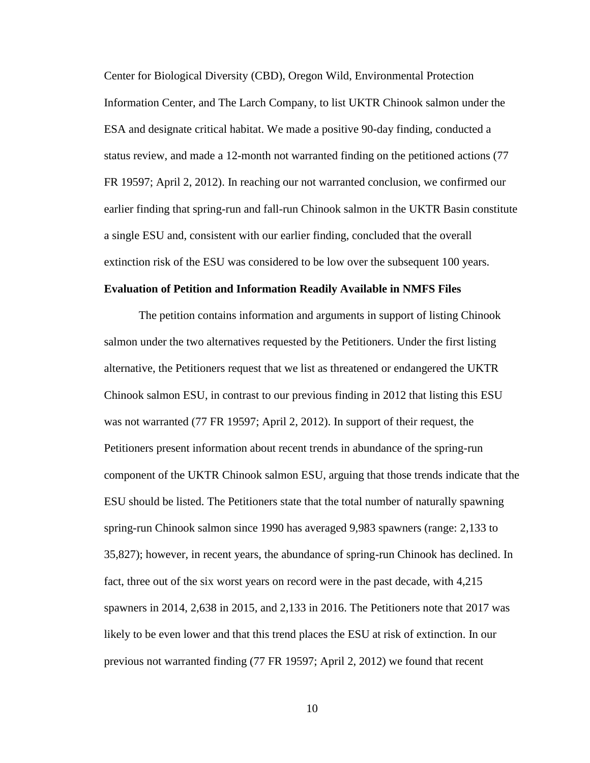Center for Biological Diversity (CBD), Oregon Wild, Environmental Protection Information Center, and The Larch Company, to list UKTR Chinook salmon under the ESA and designate critical habitat. We made a positive 90-day finding, conducted a status review, and made a 12-month not warranted finding on the petitioned actions (77 FR 19597; April 2, 2012). In reaching our not warranted conclusion, we confirmed our earlier finding that spring-run and fall-run Chinook salmon in the UKTR Basin constitute a single ESU and, consistent with our earlier finding, concluded that the overall extinction risk of the ESU was considered to be low over the subsequent 100 years.

## **Evaluation of Petition and Information Readily Available in NMFS Files**

The petition contains information and arguments in support of listing Chinook salmon under the two alternatives requested by the Petitioners. Under the first listing alternative, the Petitioners request that we list as threatened or endangered the UKTR Chinook salmon ESU, in contrast to our previous finding in 2012 that listing this ESU was not warranted (77 FR 19597; April 2, 2012). In support of their request, the Petitioners present information about recent trends in abundance of the spring-run component of the UKTR Chinook salmon ESU, arguing that those trends indicate that the ESU should be listed. The Petitioners state that the total number of naturally spawning spring-run Chinook salmon since 1990 has averaged 9,983 spawners (range: 2,133 to 35,827); however, in recent years, the abundance of spring-run Chinook has declined. In fact, three out of the six worst years on record were in the past decade, with 4,215 spawners in 2014, 2,638 in 2015, and 2,133 in 2016. The Petitioners note that 2017 was likely to be even lower and that this trend places the ESU at risk of extinction. In our previous not warranted finding (77 FR 19597; April 2, 2012) we found that recent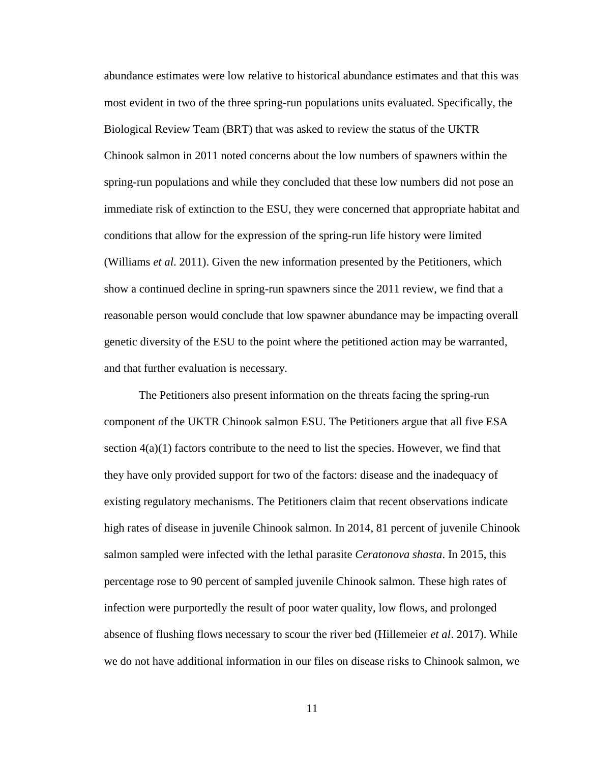abundance estimates were low relative to historical abundance estimates and that this was most evident in two of the three spring-run populations units evaluated. Specifically, the Biological Review Team (BRT) that was asked to review the status of the UKTR Chinook salmon in 2011 noted concerns about the low numbers of spawners within the spring-run populations and while they concluded that these low numbers did not pose an immediate risk of extinction to the ESU, they were concerned that appropriate habitat and conditions that allow for the expression of the spring-run life history were limited (Williams *et al*. 2011). Given the new information presented by the Petitioners, which show a continued decline in spring-run spawners since the 2011 review, we find that a reasonable person would conclude that low spawner abundance may be impacting overall genetic diversity of the ESU to the point where the petitioned action may be warranted, and that further evaluation is necessary.

The Petitioners also present information on the threats facing the spring-run component of the UKTR Chinook salmon ESU. The Petitioners argue that all five ESA section  $4(a)(1)$  factors contribute to the need to list the species. However, we find that they have only provided support for two of the factors: disease and the inadequacy of existing regulatory mechanisms. The Petitioners claim that recent observations indicate high rates of disease in juvenile Chinook salmon. In 2014, 81 percent of juvenile Chinook salmon sampled were infected with the lethal parasite *Ceratonova shasta*. In 2015, this percentage rose to 90 percent of sampled juvenile Chinook salmon. These high rates of infection were purportedly the result of poor water quality, low flows, and prolonged absence of flushing flows necessary to scour the river bed (Hillemeier *et al*. 2017). While we do not have additional information in our files on disease risks to Chinook salmon, we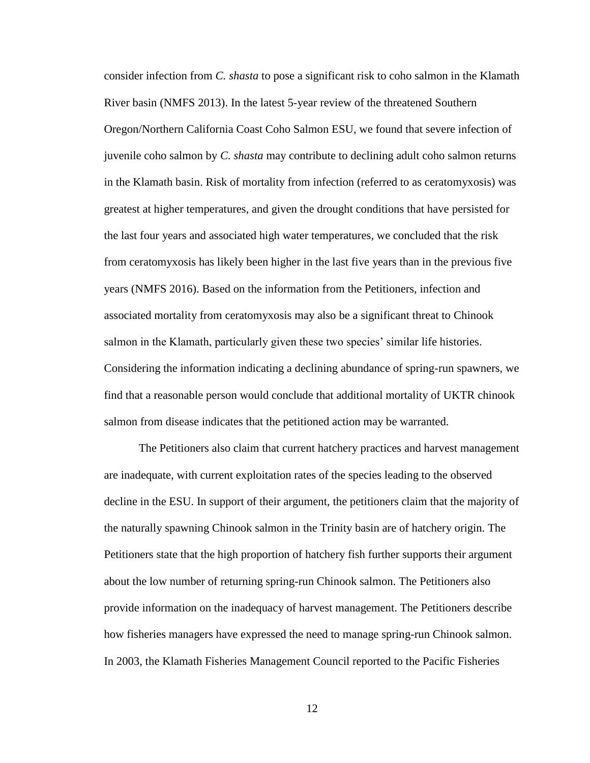consider infection from *C. shasta* to pose a significant risk to coho salmon in the Klamath River basin (NMFS 2013). In the latest 5-year review of the threatened Southern Oregon/Northern California Coast Coho Salmon ESU, we found that severe infection of juvenile coho salmon by *C. shasta* may contribute to declining adult coho salmon returns in the Klamath basin. Risk of mortality from infection (referred to as ceratomyxosis) was greatest at higher temperatures, and given the drought conditions that have persisted for the last four years and associated high water temperatures, we concluded that the risk from ceratomyxosis has likely been higher in the last five years than in the previous five years (NMFS 2016). Based on the information from the Petitioners, infection and associated mortality from ceratomyxosis may also be a significant threat to Chinook salmon in the Klamath, particularly given these two species' similar life histories. Considering the information indicating a declining abundance of spring-run spawners, we find that a reasonable person would conclude that additional mortality of UKTR chinook salmon from disease indicates that the petitioned action may be warranted.

The Petitioners also claim that current hatchery practices and harvest management are inadequate, with current exploitation rates of the species leading to the observed decline in the ESU. In support of their argument, the petitioners claim that the majority of the naturally spawning Chinook salmon in the Trinity basin are of hatchery origin. The Petitioners state that the high proportion of hatchery fish further supports their argument about the low number of returning spring-run Chinook salmon. The Petitioners also provide information on the inadequacy of harvest management. The Petitioners describe how fisheries managers have expressed the need to manage spring-run Chinook salmon. In 2003, the Klamath Fisheries Management Council reported to the Pacific Fisheries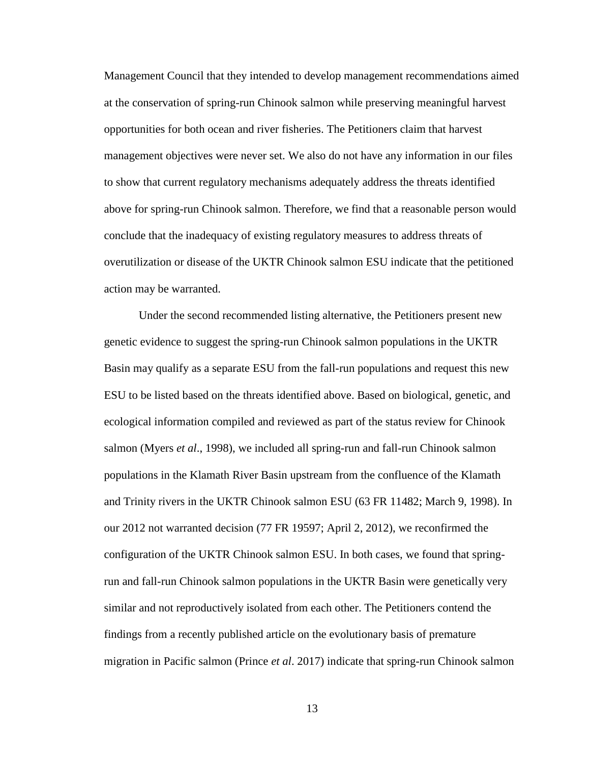Management Council that they intended to develop management recommendations aimed at the conservation of spring-run Chinook salmon while preserving meaningful harvest opportunities for both ocean and river fisheries. The Petitioners claim that harvest management objectives were never set. We also do not have any information in our files to show that current regulatory mechanisms adequately address the threats identified above for spring-run Chinook salmon. Therefore, we find that a reasonable person would conclude that the inadequacy of existing regulatory measures to address threats of overutilization or disease of the UKTR Chinook salmon ESU indicate that the petitioned action may be warranted.

Under the second recommended listing alternative, the Petitioners present new genetic evidence to suggest the spring-run Chinook salmon populations in the UKTR Basin may qualify as a separate ESU from the fall-run populations and request this new ESU to be listed based on the threats identified above. Based on biological, genetic, and ecological information compiled and reviewed as part of the status review for Chinook salmon (Myers *et al*., 1998), we included all spring-run and fall-run Chinook salmon populations in the Klamath River Basin upstream from the confluence of the Klamath and Trinity rivers in the UKTR Chinook salmon ESU (63 FR 11482; March 9, 1998). In our 2012 not warranted decision (77 FR 19597; April 2, 2012), we reconfirmed the configuration of the UKTR Chinook salmon ESU. In both cases, we found that springrun and fall-run Chinook salmon populations in the UKTR Basin were genetically very similar and not reproductively isolated from each other. The Petitioners contend the findings from a recently published article on the evolutionary basis of premature migration in Pacific salmon (Prince *et al*. 2017) indicate that spring-run Chinook salmon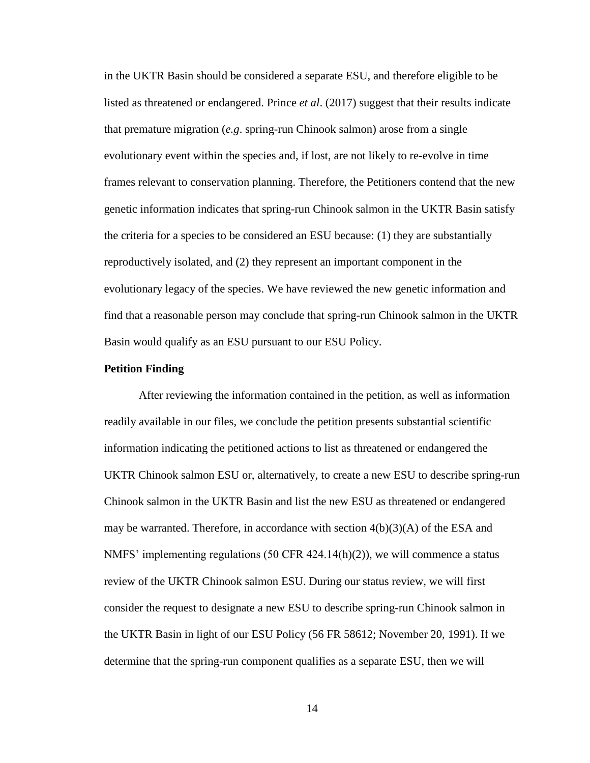in the UKTR Basin should be considered a separate ESU, and therefore eligible to be listed as threatened or endangered. Prince *et al*. (2017) suggest that their results indicate that premature migration (*e.g*. spring-run Chinook salmon) arose from a single evolutionary event within the species and, if lost, are not likely to re-evolve in time frames relevant to conservation planning. Therefore, the Petitioners contend that the new genetic information indicates that spring-run Chinook salmon in the UKTR Basin satisfy the criteria for a species to be considered an ESU because: (1) they are substantially reproductively isolated, and (2) they represent an important component in the evolutionary legacy of the species. We have reviewed the new genetic information and find that a reasonable person may conclude that spring-run Chinook salmon in the UKTR Basin would qualify as an ESU pursuant to our ESU Policy.

#### **Petition Finding**

After reviewing the information contained in the petition, as well as information readily available in our files, we conclude the petition presents substantial scientific information indicating the petitioned actions to list as threatened or endangered the UKTR Chinook salmon ESU or, alternatively, to create a new ESU to describe spring-run Chinook salmon in the UKTR Basin and list the new ESU as threatened or endangered may be warranted. Therefore, in accordance with section  $4(b)(3)(A)$  of the ESA and NMFS' implementing regulations (50 CFR 424.14(h)(2)), we will commence a status review of the UKTR Chinook salmon ESU. During our status review, we will first consider the request to designate a new ESU to describe spring-run Chinook salmon in the UKTR Basin in light of our ESU Policy (56 FR 58612; November 20, 1991). If we determine that the spring-run component qualifies as a separate ESU, then we will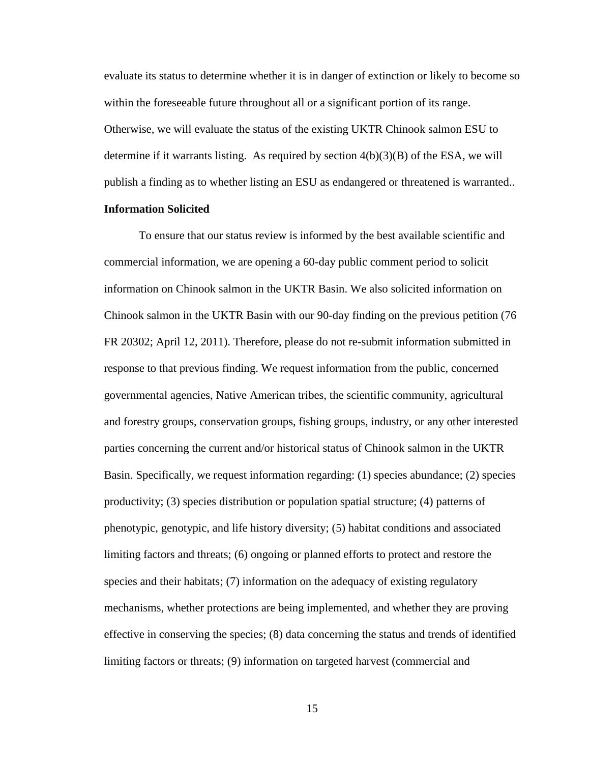evaluate its status to determine whether it is in danger of extinction or likely to become so within the foreseeable future throughout all or a significant portion of its range. Otherwise, we will evaluate the status of the existing UKTR Chinook salmon ESU to determine if it warrants listing. As required by section  $4(b)(3)(B)$  of the ESA, we will publish a finding as to whether listing an ESU as endangered or threatened is warranted..

## **Information Solicited**

To ensure that our status review is informed by the best available scientific and commercial information, we are opening a 60-day public comment period to solicit information on Chinook salmon in the UKTR Basin. We also solicited information on Chinook salmon in the UKTR Basin with our 90-day finding on the previous petition (76 FR 20302; April 12, 2011). Therefore, please do not re-submit information submitted in response to that previous finding. We request information from the public, concerned governmental agencies, Native American tribes, the scientific community, agricultural and forestry groups, conservation groups, fishing groups, industry, or any other interested parties concerning the current and/or historical status of Chinook salmon in the UKTR Basin. Specifically, we request information regarding: (1) species abundance; (2) species productivity; (3) species distribution or population spatial structure; (4) patterns of phenotypic, genotypic, and life history diversity; (5) habitat conditions and associated limiting factors and threats; (6) ongoing or planned efforts to protect and restore the species and their habitats; (7) information on the adequacy of existing regulatory mechanisms, whether protections are being implemented, and whether they are proving effective in conserving the species; (8) data concerning the status and trends of identified limiting factors or threats; (9) information on targeted harvest (commercial and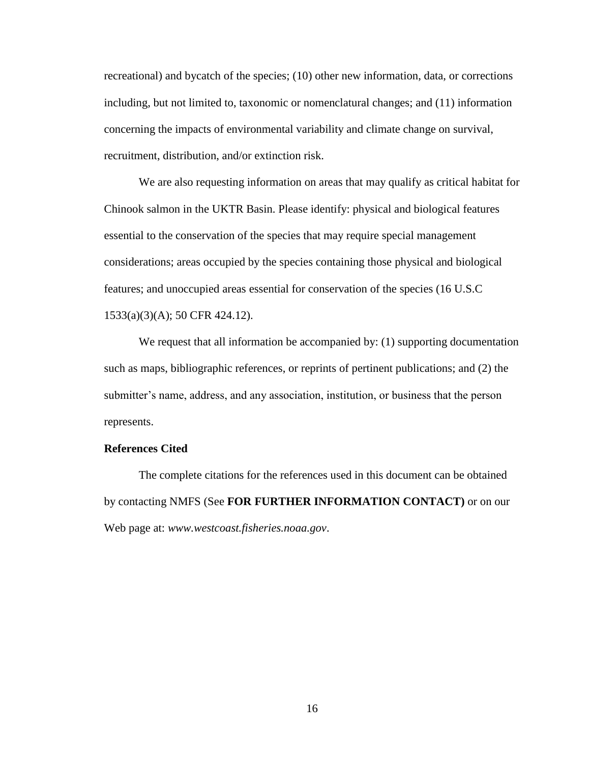recreational) and bycatch of the species; (10) other new information, data, or corrections including, but not limited to, taxonomic or nomenclatural changes; and (11) information concerning the impacts of environmental variability and climate change on survival, recruitment, distribution, and/or extinction risk.

We are also requesting information on areas that may qualify as critical habitat for Chinook salmon in the UKTR Basin. Please identify: physical and biological features essential to the conservation of the species that may require special management considerations; areas occupied by the species containing those physical and biological features; and unoccupied areas essential for conservation of the species (16 U.S.C 1533(a)(3)(A); 50 CFR 424.12).

We request that all information be accompanied by: (1) supporting documentation such as maps, bibliographic references, or reprints of pertinent publications; and (2) the submitter's name, address, and any association, institution, or business that the person represents.

## **References Cited**

The complete citations for the references used in this document can be obtained by contacting NMFS (See **FOR FURTHER INFORMATION CONTACT)** or on our Web page at: *www.westcoast.fisheries.noaa.gov*.